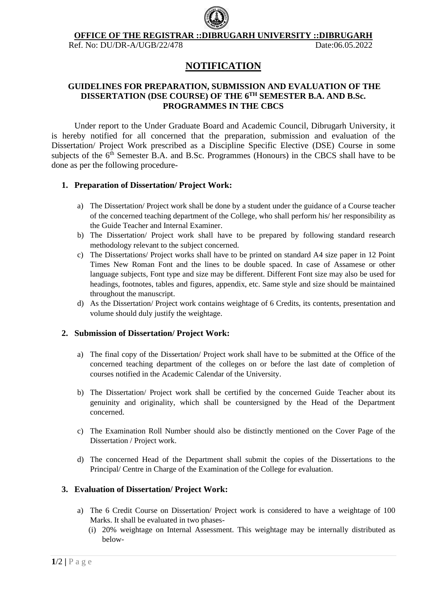

**OFFICE OF THE REGISTRAR ::DIBRUGARH UNIVERSITY ::DIBRUGARH**

Ref. No: DU/DR-A/UGB/22/478 Date:06.05.2022

# **NOTIFICATION**

### **GUIDELINES FOR PREPARATION, SUBMISSION AND EVALUATION OF THE DISSERTATION (DSE COURSE) OF THE 6 TH SEMESTER B.A. AND B.Sc. PROGRAMMES IN THE CBCS**

Under report to the Under Graduate Board and Academic Council, Dibrugarh University, it is hereby notified for all concerned that the preparation, submission and evaluation of the Dissertation/ Project Work prescribed as a Discipline Specific Elective (DSE) Course in some subjects of the 6<sup>th</sup> Semester B.A. and B.Sc. Programmes (Honours) in the CBCS shall have to be done as per the following procedure-

#### **1. Preparation of Dissertation/ Project Work:**

- a) The Dissertation/ Project work shall be done by a student under the guidance of a Course teacher of the concerned teaching department of the College, who shall perform his/ her responsibility as the Guide Teacher and Internal Examiner.
- b) The Dissertation/ Project work shall have to be prepared by following standard research methodology relevant to the subject concerned.
- c) The Dissertations/ Project works shall have to be printed on standard A4 size paper in 12 Point Times New Roman Font and the lines to be double spaced. In case of Assamese or other language subjects, Font type and size may be different. Different Font size may also be used for headings, footnotes, tables and figures, appendix, etc. Same style and size should be maintained throughout the manuscript.
- d) As the Dissertation/ Project work contains weightage of 6 Credits, its contents, presentation and volume should duly justify the weightage.

#### **2. Submission of Dissertation/ Project Work:**

- a) The final copy of the Dissertation/ Project work shall have to be submitted at the Office of the concerned teaching department of the colleges on or before the last date of completion of courses notified in the Academic Calendar of the University.
- b) The Dissertation/ Project work shall be certified by the concerned Guide Teacher about its genuinity and originality, which shall be countersigned by the Head of the Department concerned.
- c) The Examination Roll Number should also be distinctly mentioned on the Cover Page of the Dissertation / Project work.
- d) The concerned Head of the Department shall submit the copies of the Dissertations to the Principal/ Centre in Charge of the Examination of the College for evaluation.

## **3. Evaluation of Dissertation/ Project Work:**

- a) The 6 Credit Course on Dissertation/ Project work is considered to have a weightage of 100 Marks. It shall be evaluated in two phases-
	- (i) 20% weightage on Internal Assessment. This weightage may be internally distributed as below-